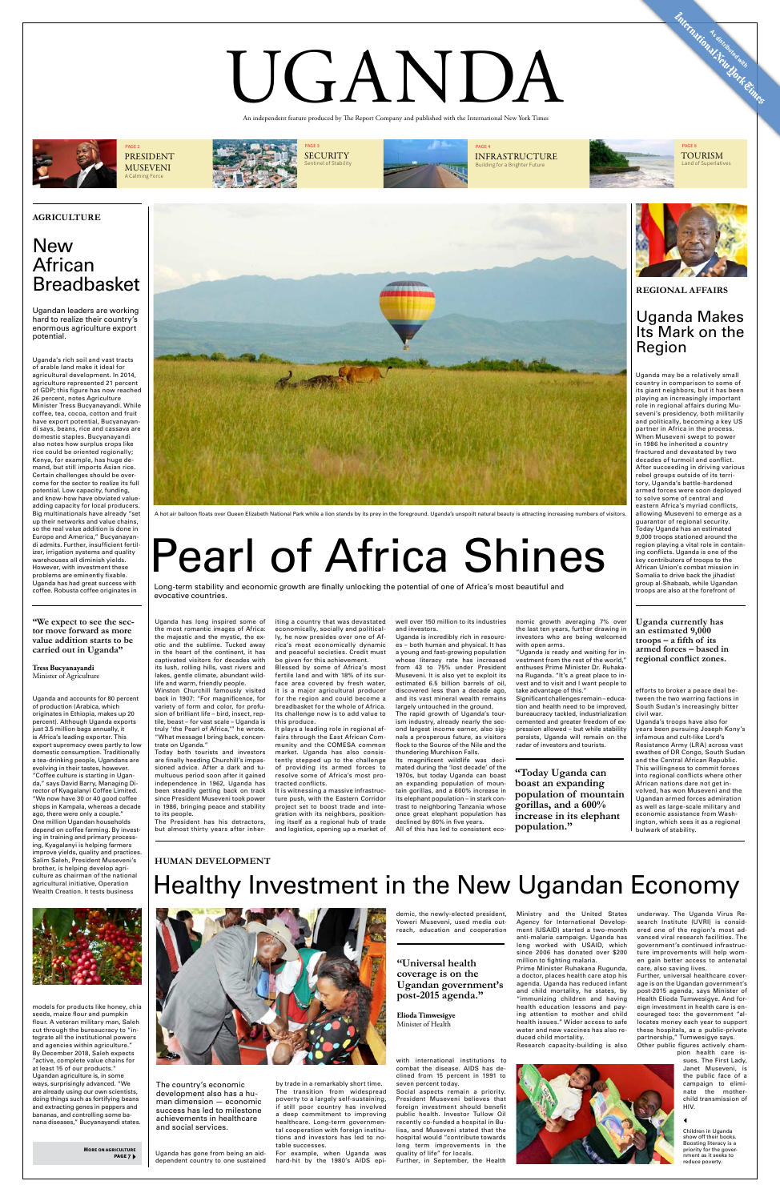Uganda has gone from being an aiddependent country to one sustained by trade in a remarkably short time. The transition from widespread poverty to a largely self-sustaining, if still poor country has involved a deep commitment to improving healthcare. Long-term governmental cooperation with foreign institutions and investors has led to notable successes.

For example, when Uganda was hard-hit by the 1980's AIDS epi-

demic, the newly-elected president, Yoweri Museveni, used media outreach, education and cooperation

with international institutions to combat the disease. AIDS has declined from 15 percent in 1991 to seven percent today.

Social aspects remain a priority. President Museveni believes that foreign investment should benefit public health. Investor Tullow Oil recently co-funded a hospital in Bulisa, and Museveni stated that the hospital would "contribute towards long term improvements in the quality of life" for locals.

Further, in September, the Health

Ministry and the United States Agency for International Development (USAID) started a two-month anti-malaria campaign. Uganda has long worked with USAID, which since 2006 has donated over \$200

million to fighting malaria. Prime Minister Ruhakana Rugunda, a doctor, places health care atop his agenda. Uganda has reduced infant and child mortality, he states, by "immunizing children and having health education lessons and paying attention to mother and child health issues." Wider access to safe water and new vaccines has also reduced child mortality. Research capacity-building is also



underway. The Uganda Virus Research Institute (UVRI) is considered one of the region's most advanced viral research facilities. The government's continued infrastructure improvements will help women gain better access to antenatal care, also saving lives.

Further, universal healthcare coverage is on the Ugandan government's post-2015 agenda, says Minister of Health Elioda Tumwesigye. And foreign investment in health care is encouraged too: the government "allocates money each year to support these hospitals, as a public-private partnership," Tumwesigye says.

Other public figures actively cham-

pion health care issues. The First Lady, Janet Museveni, is the public face of a campaign to eliminate the motherchild transmission of HIV.

Uganda's rich soil and vast tracts of arable land make it ideal for agricultural development. In 2014, agriculture represented 21 percent of GDP; this figure has now reached 26 percent, notes Agriculture Minister Tress Bucyanayandi. While coffee, tea, cocoa, cotton and fruit have export potential, Bucyanayandi says, beans, rice and cassava are domestic staples. Bucyanayandi also notes how surplus crops like rice could be oriented regionally; Kenya, for example, has huge demand, but still imports Asian rice. Certain challenges should be overcome for the sector to realize its full potential. Low capacity, funding, and know-how have obviated valueadding capacity for local producers. Big multinationals have already "set up their networks and value chains, so the real value addition is done in Europe and America," Bucyanayandi admits. Further, insufficient fertilizer, irrigation systems and quality warehouses all diminish yields. However, with investment these problems are eminently fixable. Uganda has had great success with coffee. Robusta coffee originates in

Uganda and accounts for 80 percent of production (Arabica, which originates in Ethiopia, makes up 20 percent). Although Uganda exports just 3.5 million bags annually, it is Africa's leading exporter. This export supremacy owes partly to low domestic consumption. Traditionally a tea-drinking people, Ugandans are evolving in their tastes, however. "Coffee culture is starting in Uganda," says David Barry, Managing Director of Kyagalanyi Coffee Limited. "We now have 30 or 40 good coffee shops in Kampala, whereas a decade ago, there were only a couple." One million Ugandan households depend on coffee farming. By investing in training and primary processing, Kyagalanyi is helping farmers improve yields, quality and practices. Salim Saleh, President Museveni's brother, is helping develop agriculture as chairman of the national agricultural initiative, Operation Wealth Creation. It tests business

models for products like honey, chia seeds, maize flour and pumpkin flour. A veteran military man, Saleh cut through the bureaucracy to "integrate all the institutional powers and agencies within agriculture." By December 2018, Saleh expects "active, complete value chains for at least 15 of our products." Ugandan agriculture is, in some ways, surprisingly advanced. "We are already using our own scientists, doing things such as fortifying beans and extracting genes in peppers and bananas, and controlling some banana diseases," Bucyanayandi states.



PRESIDENT MUSEVENI A Calming Force



PAGE 3 SECURITY Sentinel of Stability



PAGE 4 INFRASTRUCTURE Building for a Brighter Future



PAGE 8 TOURISM Land of Superlatives

**Anternational Assistance with Crimes** 

# UGANDA

An independent feature produced by The Report Company and published with the International New York Times

### **New** African Breadbasket

Uganda has long inspired some of the most romantic images of Africa: the majestic and the mystic, the exotic and the sublime. Tucked away in the heart of the continent, it has captivated visitors for decades with its lush, rolling hills, vast rivers and lakes, gentle climate, abundant wildlife and warm, friendly people. Winston Churchill famously visite back in 1907: "For magnificence, for variety of form and color, for profusion of brilliant life – bird, insect, reptile, beast – for vast scale – Uganda is truly 'the Pearl of Africa,'" he wrote. "What message I bring back, concentrate on Uganda." Today both tourists and investors are finally heeding Churchill's impassioned advice. After a dark and tumultuous period soon after it gained independence in 1962, Uganda has been steadily getting back on track since President Museveni took power in 1986, bringing peace and stability to its people. The President has his detractors, but almost thirty years after inheriting a country that was devastated economically, socially and politically, he now presides over one of Africa's most economically dynamic and peaceful societies. Credit must be given for this achievement.

Blessed by some of Africa's most fertile land and with 18% of its surface area covered by fresh water, it is a major agricultural producer for the region and could become a breadbasket for the whole of Africa. Its challenge now is to add value to this produce. It plays a leading role in regional affairs through the East African Community and the COMESA common market. Uganda has also consistently stepped up to the challenge of providing its armed forces to resolve some of Africa's most protracted conflicts. It is witnessing a massive infrastructure push, with the Eastern Corridor project set to boost trade and integration with its neighbors, positioning itself as a regional hub of trade and logistics, opening up a market of

well over 150 million to its industries and investors.

Uganda is incredibly rich in resources – both human and physical. It has a young and fast-growing population whose literacy rate has increased from 43 to 75% under President Museveni. It is also yet to exploit its estimated 6.5 billion barrels of oil, discovered less than a decade ago,

and its vast mineral wealth remains

largely untouched in the ground. The rapid growth of Uganda's tourism industry, already nearly the second largest income earner, also signals a prosperous future, as visitors flock to the Source of the Nile and the thundering Murchison Falls.

Its magnificent wildlife was decimated during the 'lost decade' of the 1970s, but today Uganda can boast an expanding population of mountain gorillas, and a 600% increase in its elephant population – in stark contrast to neighboring Tanzania whose once great elephant population has declined by 60% in five years.

All of this has led to consistent eco-

nomic growth averaging 7% over the last ten years, further drawing in investors who are being welcomed with open arms.

"Uganda is ready and waiting for investment from the rest of the world," enthuses Prime Minister Dr. Ruhakana Ruganda. "It's a great place to invest and to visit and I want people to take advantage of this."

Significant challenges remain – education and health need to be improved, bureaucracy tackled, industrialization cemented and greater freedom of expression allowed – but while stability persists, Uganda will remain on the radar of investors and tourists.

**"Universal health coverage is on the Ugandan government's post-2015 agenda."**

**Elioda Timwesigye** 

Minister of Health

### Healthy Investment in the New Ugandan Economy



The country's economic development also has a human dimension — economic success has led to milestone achievements in healthcare and social services.

Uganda may be a relatively small country in comparison to some of its giant neighbors, but it has been playing an increasingly important role in regional affairs during Museveni's presidency, both militarily and politically, becoming a key US partner in Africa in the process. When Museveni swept to power in 1986 he inherited a country fractured and devastated by two decades of turmoil and conflict. After succeeding in driving various rebel groups outside of its territory, Uganda's battle-hardened armed forces were soon deployed to solve some of central and eastern Africa's myriad conflicts, allowing Museveni to emerge as a guarantor of regional security. Today Uganda has an estimated 9,000 troops stationed around the region playing a vital role in containing conflicts. Uganda is one of the key contributors of troops to the African Union's combat mission in Somalia to drive back the jihadist group al-Shabaab, while Ugandan troops are also at the forefront of

efforts to broker a peace deal between the two warring factions in South Sudan's increasingly bitter civil war.

Uganda's troops have also for years been pursuing Joseph Kony's infamous and cult-like Lord's Resistance Army (LRA) across vast swathes of DR Congo, South Sudan and the Central African Republic. This willingness to commit forces into regional conflicts where other African nations dare not get involved, has won Museveni and the Ugandan armed forces admiration as well as large-scale military and economic assistance from Washington, which sees it as a regional bulwark of stability.

Ugandan leaders are working hard to realize their country's enormous agriculture export potential.

**"We expect to see the sector move forward as more value addition starts to be carried out in Uganda"**

**Tress Bucyanayandi**  Minister of Agriculture

## Pearl of Africa Shines

Long-term stability and economic growth are finally unlocking the potential of one of Africa's most beautiful and evocative countries.



A hot air balloon floats over Queen Elizabeth National Park while a lion stands by its prey in the foreground. Uganda's unspoilt natural beauty is attracting increasing numbers of visitors.

Children in Uganda show off their books. Boosting literacy is a priority for the government as it seeks to reduce poverty.

### Uganda Makes Its Mark on the Region

**More on agriculture page 7**

**"Today Uganda can boast an expanding population of mountain gorillas, and a 600% increase in its elephant population."**

**Uganda currently has an estimated 9,000 troops – a fifth of its armed forces – based in regional conflict zones.**

### **HUMAN DEVELOPMENT**

**REGIONAL AFFAIRS**

### **AGRICULTURE**